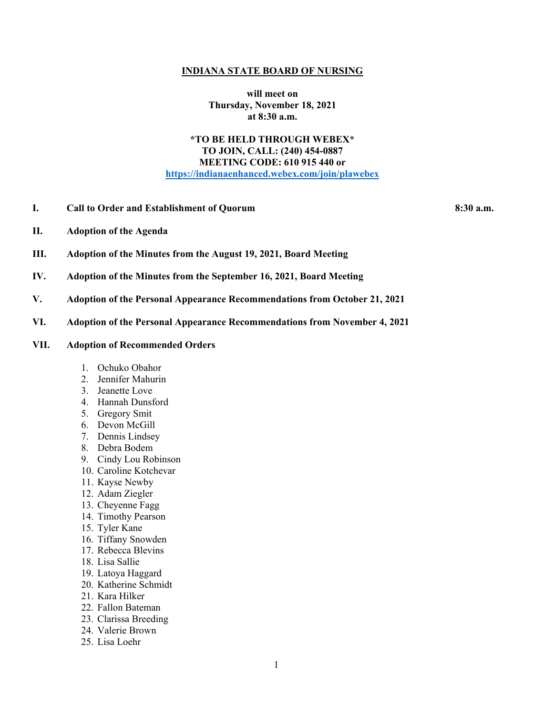#### **INDIANA STATE BOARD OF NURSING**

**will meet on Thursday, November 18, 2021 at 8:30 a.m.**

# **\*TO BE HELD THROUGH WEBEX\* TO JOIN, CALL: (240) 454-0887 MEETING CODE: 610 915 440 or [https://indianaenhanced.webex.com/join/plawebex](https://indianaenhanced.webex.com/join/PLAWebex)**

**I. Call to Order and Establishment of Quorum 8:30 a.m.** 

- **II. Adoption of the Agenda**
- **III. Adoption of the Minutes from the August 19, 2021, Board Meeting**
- **IV. Adoption of the Minutes from the September 16, 2021, Board Meeting**
- **V. Adoption of the Personal Appearance Recommendations from October 21, 2021**
- **VI. Adoption of the Personal Appearance Recommendations from November 4, 2021**

### **VII. Adoption of Recommended Orders**

- 1. Ochuko Obahor
- 2. Jennifer Mahurin
- 3. Jeanette Love
- 4. Hannah Dunsford
- 5. Gregory Smit
- 6. Devon McGill
- 7. Dennis Lindsey
- 8. Debra Bodem
- 9. Cindy Lou Robinson
- 10. Caroline Kotchevar
- 11. Kayse Newby
- 12. Adam Ziegler
- 13. Cheyenne Fagg
- 14. Timothy Pearson
- 15. Tyler Kane
- 16. Tiffany Snowden
- 17. Rebecca Blevins
- 18. Lisa Sallie
- 19. Latoya Haggard
- 20. Katherine Schmidt
- 21. Kara Hilker
- 22. Fallon Bateman
- 23. Clarissa Breeding
- 24. Valerie Brown
- 25. Lisa Loehr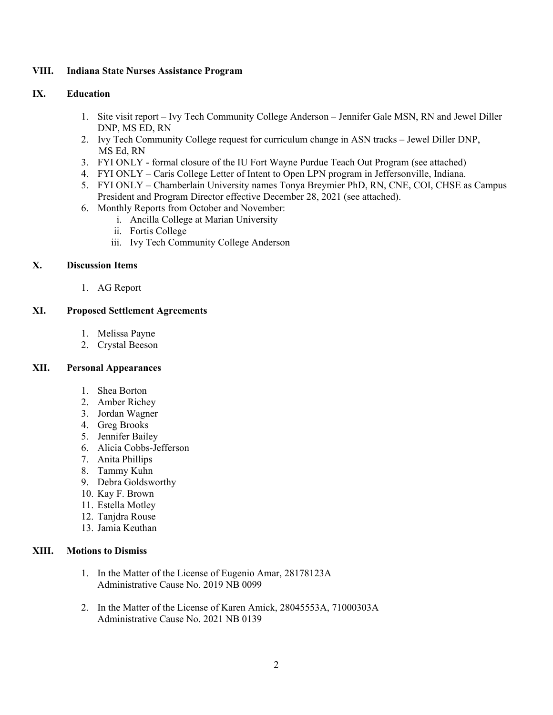## **VIII. Indiana State Nurses Assistance Program**

### **IX. Education**

- 1. Site visit report Ivy Tech Community College Anderson Jennifer Gale MSN, RN and Jewel Diller DNP, MS ED, RN
- 2. Ivy Tech Community College request for curriculum change in ASN tracks Jewel Diller DNP, MS Ed, RN
- 3. FYI ONLY formal closure of the IU Fort Wayne Purdue Teach Out Program (see attached)
- 4. FYI ONLY Caris College Letter of Intent to Open LPN program in Jeffersonville, Indiana.
- 5. FYI ONLY Chamberlain University names Tonya Breymier PhD, RN, CNE, COI, CHSE as Campus President and Program Director effective December 28, 2021 (see attached).
- 6. Monthly Reports from October and November:
	- i. Ancilla College at Marian University
		- ii. Fortis College
		- iii. Ivy Tech Community College Anderson

# **X. Discussion Items**

1. AG Report

# **XI. Proposed Settlement Agreements**

- 1. Melissa Payne
- 2. Crystal Beeson

# **XII. Personal Appearances**

- 1. Shea Borton
- 2. Amber Richey
- 3. Jordan Wagner
- 4. Greg Brooks
- 5. Jennifer Bailey
- 6. Alicia Cobbs-Jefferson
- 7. Anita Phillips
- 8. Tammy Kuhn
- 9. Debra Goldsworthy
- 10. Kay F. Brown
- 11. Estella Motley
- 12. Tanjdra Rouse
- 13. Jamia Keuthan

## **XIII. Motions to Dismiss**

- 1. In the Matter of the License of Eugenio Amar, 28178123A Administrative Cause No. 2019 NB 0099
- 2. In the Matter of the License of Karen Amick, 28045553A, 71000303A Administrative Cause No. 2021 NB 0139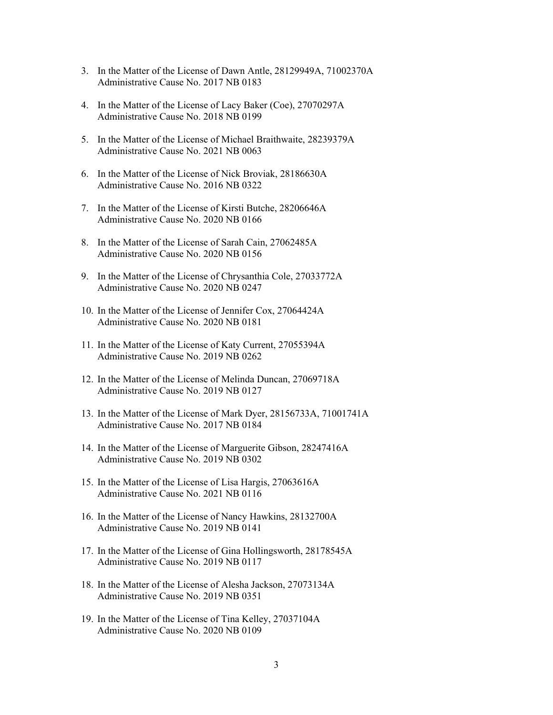- 3. In the Matter of the License of Dawn Antle, 28129949A, 71002370A Administrative Cause No. 2017 NB 0183
- 4. In the Matter of the License of Lacy Baker (Coe), 27070297A Administrative Cause No. 2018 NB 0199
- 5. In the Matter of the License of Michael Braithwaite, 28239379A Administrative Cause No. 2021 NB 0063
- 6. In the Matter of the License of Nick Broviak, 28186630A Administrative Cause No. 2016 NB 0322
- 7. In the Matter of the License of Kirsti Butche, 28206646A Administrative Cause No. 2020 NB 0166
- 8. In the Matter of the License of Sarah Cain, 27062485A Administrative Cause No. 2020 NB 0156
- 9. In the Matter of the License of Chrysanthia Cole, 27033772A Administrative Cause No. 2020 NB 0247
- 10. In the Matter of the License of Jennifer Cox, 27064424A Administrative Cause No. 2020 NB 0181
- 11. In the Matter of the License of Katy Current, 27055394A Administrative Cause No. 2019 NB 0262
- 12. In the Matter of the License of Melinda Duncan, 27069718A Administrative Cause No. 2019 NB 0127
- 13. In the Matter of the License of Mark Dyer, 28156733A, 71001741A Administrative Cause No. 2017 NB 0184
- 14. In the Matter of the License of Marguerite Gibson, 28247416A Administrative Cause No. 2019 NB 0302
- 15. In the Matter of the License of Lisa Hargis, 27063616A Administrative Cause No. 2021 NB 0116
- 16. In the Matter of the License of Nancy Hawkins, 28132700A Administrative Cause No. 2019 NB 0141
- 17. In the Matter of the License of Gina Hollingsworth, 28178545A Administrative Cause No. 2019 NB 0117
- 18. In the Matter of the License of Alesha Jackson, 27073134A Administrative Cause No. 2019 NB 0351
- 19. In the Matter of the License of Tina Kelley, 27037104A Administrative Cause No. 2020 NB 0109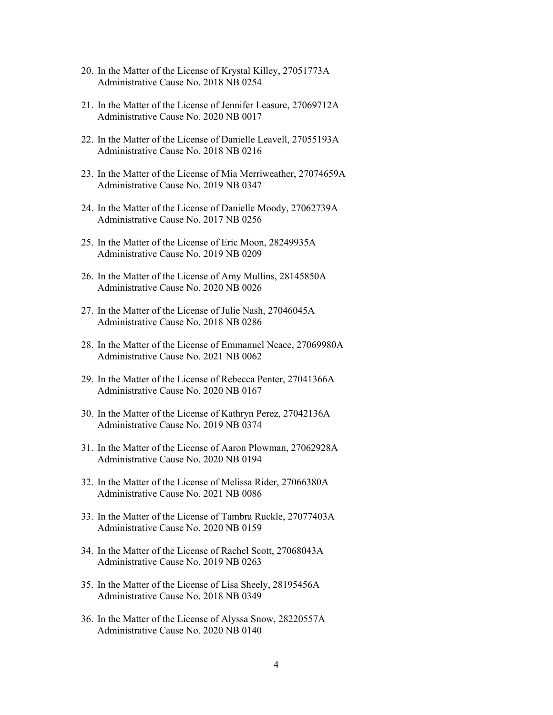- 20. In the Matter of the License of Krystal Killey, 27051773A Administrative Cause No. 2018 NB 0254
- 21. In the Matter of the License of Jennifer Leasure, 27069712A Administrative Cause No. 2020 NB 0017
- 22. In the Matter of the License of Danielle Leavell, 27055193A Administrative Cause No. 2018 NB 0216
- 23. In the Matter of the License of Mia Merriweather, 27074659A Administrative Cause No. 2019 NB 0347
- 24. In the Matter of the License of Danielle Moody, 27062739A Administrative Cause No. 2017 NB 0256
- 25. In the Matter of the License of Eric Moon, 28249935A Administrative Cause No. 2019 NB 0209
- 26. In the Matter of the License of Amy Mullins, 28145850A Administrative Cause No. 2020 NB 0026
- 27. In the Matter of the License of Julie Nash, 27046045A Administrative Cause No. 2018 NB 0286
- 28. In the Matter of the License of Emmanuel Neace, 27069980A Administrative Cause No. 2021 NB 0062
- 29. In the Matter of the License of Rebecca Penter, 27041366A Administrative Cause No. 2020 NB 0167
- 30. In the Matter of the License of Kathryn Perez, 27042136A Administrative Cause No. 2019 NB 0374
- 31. In the Matter of the License of Aaron Plowman, 27062928A Administrative Cause No. 2020 NB 0194
- 32. In the Matter of the License of Melissa Rider, 27066380A Administrative Cause No. 2021 NB 0086
- 33. In the Matter of the License of Tambra Ruckle, 27077403A Administrative Cause No. 2020 NB 0159
- 34. In the Matter of the License of Rachel Scott, 27068043A Administrative Cause No. 2019 NB 0263
- 35. In the Matter of the License of Lisa Sheely, 28195456A Administrative Cause No. 2018 NB 0349
- 36. In the Matter of the License of Alyssa Snow, 28220557A Administrative Cause No. 2020 NB 0140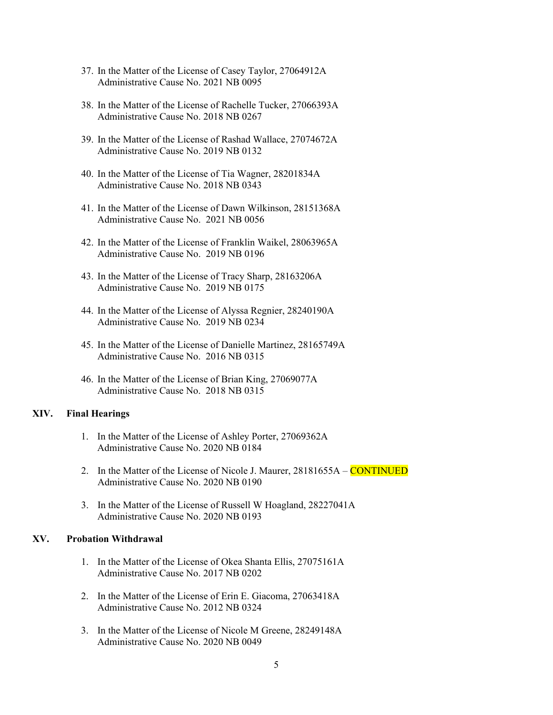- 37. In the Matter of the License of Casey Taylor, 27064912A Administrative Cause No. 2021 NB 0095
- 38. In the Matter of the License of Rachelle Tucker, 27066393A Administrative Cause No. 2018 NB 0267
- 39. In the Matter of the License of Rashad Wallace, 27074672A Administrative Cause No. 2019 NB 0132
- 40. In the Matter of the License of Tia Wagner, 28201834A Administrative Cause No. 2018 NB 0343
- 41. In the Matter of the License of Dawn Wilkinson, 28151368A Administrative Cause No. 2021 NB 0056
- 42. In the Matter of the License of Franklin Waikel, 28063965A Administrative Cause No. 2019 NB 0196
- 43. In the Matter of the License of Tracy Sharp, 28163206A Administrative Cause No. 2019 NB 0175
- 44. In the Matter of the License of Alyssa Regnier, 28240190A Administrative Cause No. 2019 NB 0234
- 45. In the Matter of the License of Danielle Martinez, 28165749A Administrative Cause No. 2016 NB 0315
- 46. In the Matter of the License of Brian King, 27069077A Administrative Cause No. 2018 NB 0315

#### **XIV. Final Hearings**

- 1. In the Matter of the License of Ashley Porter, 27069362A Administrative Cause No. 2020 NB 0184
- 2. In the Matter of the License of Nicole J. Maurer, 28181655A **CONTINUED** Administrative Cause No. 2020 NB 0190
- 3. In the Matter of the License of Russell W Hoagland, 28227041A Administrative Cause No. 2020 NB 0193

#### **XV. Probation Withdrawal**

- 1. In the Matter of the License of Okea Shanta Ellis, 27075161A Administrative Cause No. 2017 NB 0202
- 2. In the Matter of the License of Erin E. Giacoma, 27063418A Administrative Cause No. 2012 NB 0324
- 3. In the Matter of the License of Nicole M Greene, 28249148A Administrative Cause No. 2020 NB 0049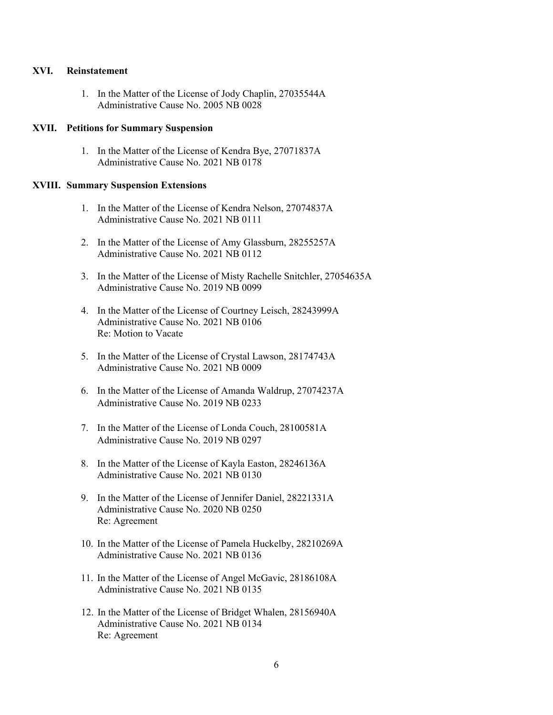#### **XVI. Reinstatement**

1. In the Matter of the License of Jody Chaplin, 27035544A Administrative Cause No. 2005 NB 0028

# **XVII. Petitions for Summary Suspension**

1. In the Matter of the License of Kendra Bye, 27071837A Administrative Cause No. 2021 NB 0178

#### **XVIII. Summary Suspension Extensions**

- 1. In the Matter of the License of Kendra Nelson, 27074837A Administrative Cause No. 2021 NB 0111
- 2. In the Matter of the License of Amy Glassburn, 28255257A Administrative Cause No. 2021 NB 0112
- 3. In the Matter of the License of Misty Rachelle Snitchler, 27054635A Administrative Cause No. 2019 NB 0099
- 4. In the Matter of the License of Courtney Leisch, 28243999A Administrative Cause No. 2021 NB 0106 Re: Motion to Vacate
- 5. In the Matter of the License of Crystal Lawson, 28174743A Administrative Cause No. 2021 NB 0009
- 6. In the Matter of the License of Amanda Waldrup, 27074237A Administrative Cause No. 2019 NB 0233
- 7. In the Matter of the License of Londa Couch, 28100581A Administrative Cause No. 2019 NB 0297
- 8. In the Matter of the License of Kayla Easton, 28246136A Administrative Cause No. 2021 NB 0130
- 9. In the Matter of the License of Jennifer Daniel, 28221331A Administrative Cause No. 2020 NB 0250 Re: Agreement
- 10. In the Matter of the License of Pamela Huckelby, 28210269A Administrative Cause No. 2021 NB 0136
- 11. In the Matter of the License of Angel McGavic, 28186108A Administrative Cause No. 2021 NB 0135
- 12. In the Matter of the License of Bridget Whalen, 28156940A Administrative Cause No. 2021 NB 0134 Re: Agreement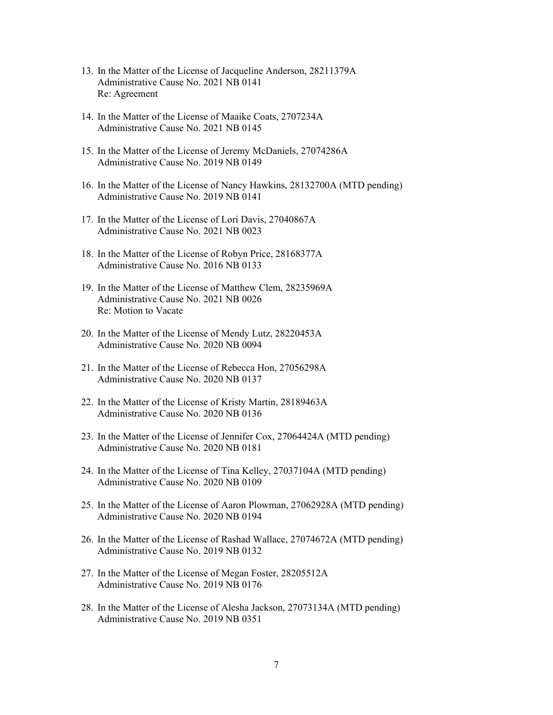- 13. In the Matter of the License of Jacqueline Anderson, 28211379A Administrative Cause No. 2021 NB 0141 Re: Agreement
- 14. In the Matter of the License of Maaike Coats, 2707234A Administrative Cause No. 2021 NB 0145
- 15. In the Matter of the License of Jeremy McDaniels, 27074286A Administrative Cause No. 2019 NB 0149
- 16. In the Matter of the License of Nancy Hawkins, 28132700A (MTD pending) Administrative Cause No. 2019 NB 0141
- 17. In the Matter of the License of Lori Davis, 27040867A Administrative Cause No. 2021 NB 0023
- 18. In the Matter of the License of Robyn Price, 28168377A Administrative Cause No. 2016 NB 0133
- 19. In the Matter of the License of Matthew Clem, 28235969A Administrative Cause No. 2021 NB 0026 Re: Motion to Vacate
- 20. In the Matter of the License of Mendy Lutz, 28220453A Administrative Cause No. 2020 NB 0094
- 21. In the Matter of the License of Rebecca Hon, 27056298A Administrative Cause No. 2020 NB 0137
- 22. In the Matter of the License of Kristy Martin, 28189463A Administrative Cause No. 2020 NB 0136
- 23. In the Matter of the License of Jennifer Cox, 27064424A (MTD pending) Administrative Cause No. 2020 NB 0181
- 24. In the Matter of the License of Tina Kelley, 27037104A (MTD pending) Administrative Cause No. 2020 NB 0109
- 25. In the Matter of the License of Aaron Plowman, 27062928A (MTD pending) Administrative Cause No. 2020 NB 0194
- 26. In the Matter of the License of Rashad Wallace, 27074672A (MTD pending) Administrative Cause No. 2019 NB 0132
- 27. In the Matter of the License of Megan Foster, 28205512A Administrative Cause No. 2019 NB 0176
- 28. In the Matter of the License of Alesha Jackson, 27073134A (MTD pending) Administrative Cause No. 2019 NB 0351